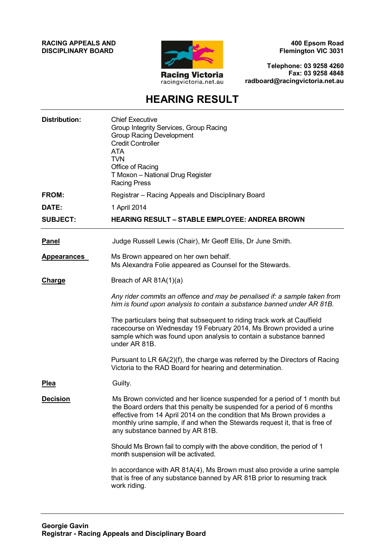#### **RACING APPEALS AND DISCIPLINARY BOARD**



**400 Epsom Road Flemington VIC 3031**

**Telephone: 03 9258 4260 Fax: 03 9258 4848 radboard@racingvictoria.net.au**

## **HEARING RESULT**

| <b>Distribution:</b> | <b>Chief Executive</b><br>Group Integrity Services, Group Racing<br><b>Group Racing Development</b><br><b>Credit Controller</b><br><b>ATA</b><br><b>TVN</b><br>Office of Racing<br>T Moxon - National Drug Register<br><b>Racing Press</b>                                                                                                      |
|----------------------|-------------------------------------------------------------------------------------------------------------------------------------------------------------------------------------------------------------------------------------------------------------------------------------------------------------------------------------------------|
| <b>FROM:</b>         | Registrar - Racing Appeals and Disciplinary Board                                                                                                                                                                                                                                                                                               |
| DATE:                | 1 April 2014                                                                                                                                                                                                                                                                                                                                    |
| <b>SUBJECT:</b>      | <b>HEARING RESULT - STABLE EMPLOYEE: ANDREA BROWN</b>                                                                                                                                                                                                                                                                                           |
| <b>Panel</b>         | Judge Russell Lewis (Chair), Mr Geoff Ellis, Dr June Smith.                                                                                                                                                                                                                                                                                     |
| Appearances          | Ms Brown appeared on her own behalf.<br>Ms Alexandra Folie appeared as Counsel for the Stewards.                                                                                                                                                                                                                                                |
| <b>Charge</b>        | Breach of AR $81A(1)(a)$                                                                                                                                                                                                                                                                                                                        |
|                      | Any rider commits an offence and may be penalised if: a sample taken from<br>him is found upon analysis to contain a substance banned under AR 81B.                                                                                                                                                                                             |
|                      | The particulars being that subsequent to riding track work at Caulfield<br>racecourse on Wednesday 19 February 2014, Ms Brown provided a urine<br>sample which was found upon analysis to contain a substance banned<br>under AR 81B.                                                                                                           |
|                      | Pursuant to LR 6A(2)(f), the charge was referred by the Directors of Racing<br>Victoria to the RAD Board for hearing and determination.                                                                                                                                                                                                         |
| <b>Plea</b>          | Guilty.                                                                                                                                                                                                                                                                                                                                         |
| <b>Decision</b>      | Ms Brown convicted and her licence suspended for a period of 1 month but<br>the Board orders that this penalty be suspended for a period of 6 months<br>effective from 14 April 2014 on the condition that Ms Brown provides a<br>monthly urine sample, if and when the Stewards request it, that is free of<br>any substance banned by AR 81B. |
|                      | Should Ms Brown fail to comply with the above condition, the period of 1<br>month suspension will be activated.                                                                                                                                                                                                                                 |
|                      | In accordance with AR 81A(4), Ms Brown must also provide a urine sample<br>that is free of any substance banned by AR 81B prior to resuming track<br>work riding.                                                                                                                                                                               |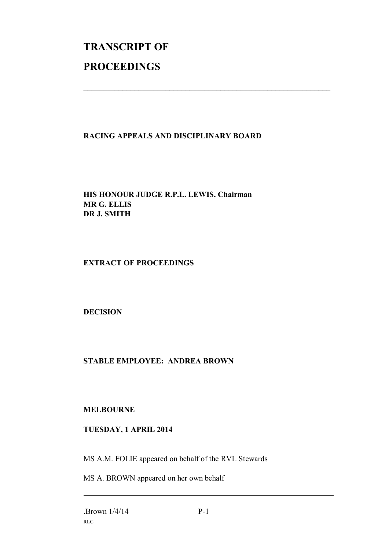# **TRANSCRIPT OF PROCEEDINGS**

### **RACING APPEALS AND DISCIPLINARY BOARD**

 $\mathcal{L}_\text{max}$  , and the contribution of the contribution of the contribution of the contribution of the contribution of the contribution of the contribution of the contribution of the contribution of the contribution of t

**HIS HONOUR JUDGE R.P.L. LEWIS, Chairman MR G. ELLIS DR J. SMITH**

**EXTRACT OF PROCEEDINGS**

**DECISION**

#### **STABLE EMPLOYEE: ANDREA BROWN**

#### **MELBOURNE**

#### **TUESDAY, 1 APRIL 2014**

MS A.M. FOLIE appeared on behalf of the RVL Stewards

MS A. BROWN appeared on her own behalf